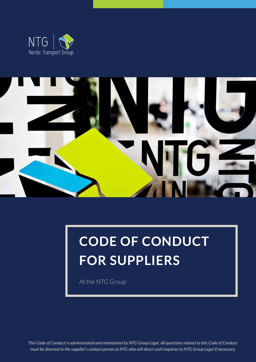



# **CODE OF CONDUCT FOR SUPPLIERS**

At the NTG Group

*This Code of Conduct is administrated and maintained by NTG Group Legal. All questions related to this Code of Conduct must be directed to the supplier's contact person at NTG who will direct such inquiries to NTG Group Legal if necessary.*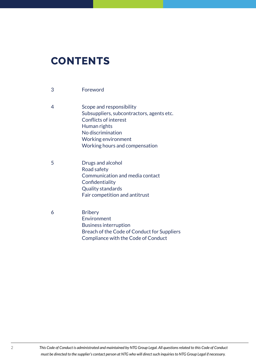# **CONTENTS**

| 3 | Foreword                                                                                                                                                                                            |
|---|-----------------------------------------------------------------------------------------------------------------------------------------------------------------------------------------------------|
| 4 | Scope and responsibility<br>Subsuppliers, subcontractors, agents etc.<br><b>Conflicts of interest</b><br>Human rights<br>No discrimination<br>Working environment<br>Working hours and compensation |
| 5 | Drugs and alcohol<br>Road safety<br>Communication and media contact<br>Confidentiality<br><b>Quality standards</b><br>Fair competition and antitrust                                                |
| 6 | <b>Bribery</b><br>Environment<br><b>Business interruption</b>                                                                                                                                       |

2 *This Code of Conduct is administrated and maintained by NTG Group Legal. All questions related to this Code of Conduct must be directed to the supplier's contact person at NTG who will direct such inquiries to NTG Group Legal if necessary.* 

 Breach of the Code of Conduct for [Suppliers](#page-5-3)

  [Compliance](#page-5-4) with the Code of Conduct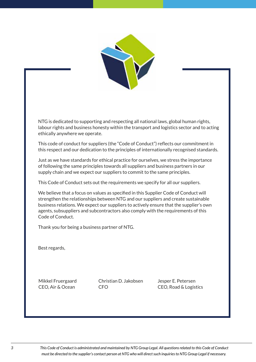

<span id="page-2-0"></span>NTG is dedicated to supporting and respecting all national laws, global human rights, labour rights and business honesty within the transport and logistics sector and to acting ethically anywhere we operate.

This code of conduct for suppliers (the "Code of Conduct") reflects our commitment in this respect and our dedication to the principles of internationally recognised standards.

Just as we have standards for ethical practice for ourselves, we stress the importance of following the same principles towards all suppliers and business partners in our supply chain and we expect our suppliers to commit to the same principles.

This Code of Conduct sets out the requirements we specify for all our suppliers.

We believe that a focus on values as specified in this Supplier Code of Conduct will strengthen the relationships between NTG and our suppliers and create sustainable business relations. We expect our suppliers to actively ensure that the supplier's own agents, subsuppliers and subcontractors also comply with the requirements of this Code of Conduct.

Thank you for being a business partner of NTG.

Best regards,

Mikkel Fruergaard CEO, Air & Ocean

Christian D. Jakobsen CFO

Jesper E. Petersen CEO, Road & Logistics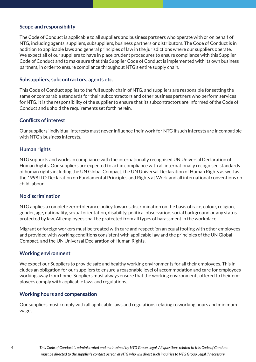#### <span id="page-3-0"></span>**Scope and responsibility**

The Code of Conduct is applicable to all suppliers and business partners who operate with or on behalf of NTG, including agents, suppliers, subsuppliers, business partners or distributors. The Code of Conduct is in addition to applicable laws and general principles of law in the jurisdictions where our suppliers operate. We expect all of our suppliers to have in place prudent procedures to ensure compliance with this Supplier Code of Conduct and to make sure that this Supplier Code of Conduct is implemented with its own business partners, in order to ensure compliance throughout NTG's entire supply chain.

#### <span id="page-3-1"></span>**Subsuppliers, subcontractors, agents etc.**

This Code of Conduct applies to the full supply chain of NTG, and suppliers are responsible for setting the same or comparable standards for their subcontractors and other business partners who perform services for NTG. It is the responsibility of the supplier to ensure that its subcontractors are informed of the Code of Conduct and uphold the requirements set forth herein.

#### <span id="page-3-2"></span>**Conflicts of interest**

Our suppliers' individual interests must never influence their work for NTG if such interests are incompatible with NTG's business interests.

#### <span id="page-3-3"></span>**Human rights**

NTG supports and works in compliance with the internationally recognised UN Universal Declaration of Human Rights. Our suppliers are expected to act in compliance with all internationally recognised standards of human rights including the UN Global Compact, the UN Universal Declaration of Human Rights as well as the 1998 ILO Declaration on Fundamental Principles and Rights at Work and all international conventions on child labour.

#### <span id="page-3-4"></span>**No discrimination**

NTG applies a complete zero-tolerance policy towards discrimination on the basis of race, colour, religion, gender, age, nationality, sexual orientation, disability, political observation, social background or any status protected by law. All employees shall be protected from all types of harassment in the workplace.

Migrant or foreign workers must be treated with care and respect 'on an equal footing with other employees and provided with working conditions consistent with applicable law and the principles of the UN Global Compact, and the UN Universal Declaration of Human Rights.

#### <span id="page-3-5"></span>**Working environment**

We expect our Suppliers to provide safe and healthy working environments for all their employees. This includes an obligation for our suppliers to ensure a reasonable level of accommodation and care for employees working away from home. Suppliers must always ensure that the working environments offered to their employees comply with applicable laws and regulations.

#### <span id="page-3-6"></span>**Working hours and compensation**

Our suppliers must comply with all applicable laws and regulations relating to working hours and minimum wages.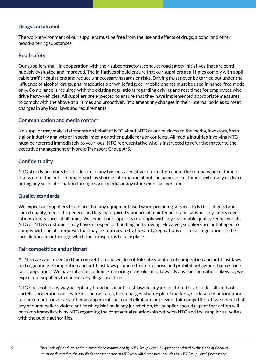# <span id="page-4-0"></span>**Drugs and alcohol**

The work environment of our suppliers must be free from the use and effects of drugs, alcohol and other mood-altering substances.

# <span id="page-4-1"></span>**Road safety**

Our suppliers shall, in cooperation with their subcontractors, conduct road safety initiatives that are continuously evaluated and improved. The initiatives should ensure that our suppliers at all times comply with applicable traffic regulations and reduce unnecessary hazards or risks. Driving must never be carried out under the influence of alcohol, drugs, pharmaceuticals or while fatigued. Mobile phones must be used in hands-free mode only. Compliance is required with the existing regulations regarding driving and rest times for employees who drive heavy vehicles. All suppliers are expected to ensure that they have implemented appropriate measures to comply with the above at all times and proactively implement any changes in their internal policies to meet changes in any local laws and requirements.

#### <span id="page-4-2"></span>**Communication and media contact**

No supplier may make statements on behalf of NTG about NTG or our business to the media, investors, financial or industry analysts or in social media or other public fora or contexts. All media inquiries involving NTG must be referred immediately to your local NTG representative who is instructed to refer the matter to the executive management of Nordic Transport Group A/S.

# <span id="page-4-3"></span>**Confidentiality**

NTG strictly prohibits the disclosure of any business-sensitive information about the company or customers that is not in the public domain, such as sharing information about the names of customers externally or distributing any such information through social media or any other external medium.

# <span id="page-4-4"></span>**Quality standards**

We expect our suppliers to ensure that any equipment used when providing services to NTG is of good and sound quality, meets the general and legally required standard of maintenance, and satisfies any safety regulations or measures at all times. We expect our suppliers to comply with any reasonable quality requirements NTG or NTG's customers may have in respect of handling and stowing. However, suppliers are not obliged to comply with specific requests that may be contrary to traffic safety regulations or similar regulations in the jurisdictions in or through which the transport is to take place.

# <span id="page-4-5"></span>**Fair competition and antitrust**

At NTG we want open and fair competition and we do not tolerate violation of competition and antitrust laws and regulations. Competition and antitrust laws promote free enterprise and prohibit behaviour that restricts fair competition. We have internal guidelines ensuring non-tolerance towards any such activities. Likewise, we expect our suppliers to counter any illegal practices.

NTG does not in any way accept any breaches of antitrust laws in any jurisdiction. This includes all kinds of cartels, cooperation on key terms such as rates, fees, charges, share/split of markets, disclosure of information to our competitors or any other arrangement that could eliminate or prevent fair competition. If we detect that any of our suppliers violate antitrust legislation in any jurisdiction, the supplier should expect that action will be taken immediately by NTG regarding the contractual relationship between NTG and the supplier as well as with the public authorities.